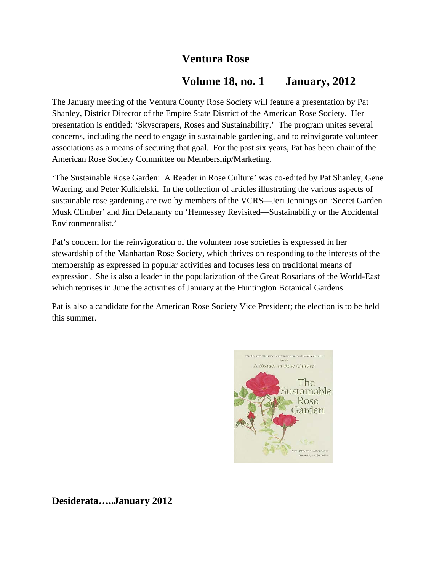# **Ventura Rose**

# **Volume 18, no. 1 January, 2012**

The January meeting of the Ventura County Rose Society will feature a presentation by Pat Shanley, District Director of the Empire State District of the American Rose Society. Her presentation is entitled: 'Skyscrapers, Roses and Sustainability.' The program unites several concerns, including the need to engage in sustainable gardening, and to reinvigorate volunteer associations as a means of securing that goal. For the past six years, Pat has been chair of the American Rose Society Committee on Membership/Marketing.

'The Sustainable Rose Garden: A Reader in Rose Culture' was co-edited by Pat Shanley, Gene Waering, and Peter Kulkielski. In the collection of articles illustrating the various aspects of sustainable rose gardening are two by members of the VCRS—Jeri Jennings on 'Secret Garden Musk Climber' and Jim Delahanty on 'Hennessey Revisited—Sustainability or the Accidental Environmentalist.'

Pat's concern for the reinvigoration of the volunteer rose societies is expressed in her stewardship of the Manhattan Rose Society, which thrives on responding to the interests of the membership as expressed in popular activities and focuses less on traditional means of expression. She is also a leader in the popularization of the Great Rosarians of the World-East which reprises in June the activities of January at the Huntington Botanical Gardens.

Pat is also a candidate for the American Rose Society Vice President; the election is to be held this summer.



**Desiderata…..January 2012**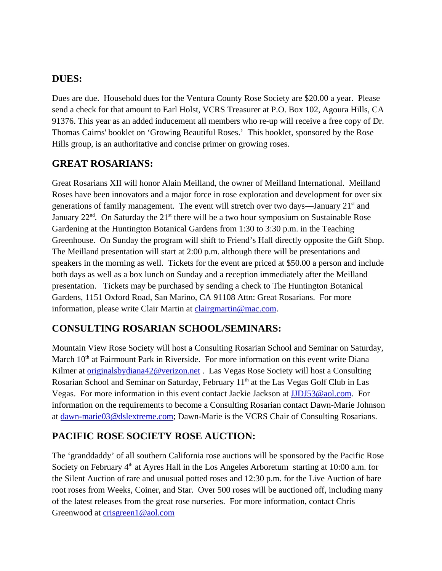### **DUES:**

Dues are due. Household dues for the Ventura County Rose Society are \$20.00 a year. Please send a check for that amount to Earl Holst, VCRS Treasurer at P.O. Box 102, Agoura Hills, CA 91376. This year as an added inducement all members who re-up will receive a free copy of Dr. Thomas Cairns' booklet on 'Growing Beautiful Roses.' This booklet, sponsored by the Rose Hills group, is an authoritative and concise primer on growing roses.

## **GREAT ROSARIANS:**

Great Rosarians XII will honor Alain Meilland, the owner of Meilland International. Meilland Roses have been innovators and a major force in rose exploration and development for over six generations of family management. The event will stretch over two days—January  $21<sup>st</sup>$  and January  $22<sup>nd</sup>$ . On Saturday the  $21<sup>st</sup>$  there will be a two hour symposium on Sustainable Rose Gardening at the Huntington Botanical Gardens from 1:30 to 3:30 p.m. in the Teaching Greenhouse. On Sunday the program will shift to Friend's Hall directly opposite the Gift Shop. The Meilland presentation will start at 2:00 p.m. although there will be presentations and speakers in the morning as well. Tickets for the event are priced at \$50.00 a person and include both days as well as a box lunch on Sunday and a reception immediately after the Meilland presentation. Tickets may be purchased by sending a check to The Huntington Botanical Gardens, 1151 Oxford Road, San Marino, CA 91108 Attn: Great Rosarians. For more information, please write Clair Martin at clairgmartin@mac.com.

# **CONSULTING ROSARIAN SCHOOL/SEMINARS:**

Mountain View Rose Society will host a Consulting Rosarian School and Seminar on Saturday, March  $10<sup>th</sup>$  at Fairmount Park in Riverside. For more information on this event write Diana Kilmer at originalsbydiana42@verizon.net . Las Vegas Rose Society will host a Consulting Rosarian School and Seminar on Saturday, February 11<sup>th</sup> at the Las Vegas Golf Club in Las Vegas. For more information in this event contact Jackie Jackson at JJDJ53@aol.com. For information on the requirements to become a Consulting Rosarian contact Dawn-Marie Johnson at dawn-marie03@dslextreme.com; Dawn-Marie is the VCRS Chair of Consulting Rosarians.

### **PACIFIC ROSE SOCIETY ROSE AUCTION:**

The 'granddaddy' of all southern California rose auctions will be sponsored by the Pacific Rose Society on February  $4<sup>th</sup>$  at Ayres Hall in the Los Angeles Arboretum starting at 10:00 a.m. for the Silent Auction of rare and unusual potted roses and 12:30 p.m. for the Live Auction of bare root roses from Weeks, Coiner, and Star. Over 500 roses will be auctioned off, including many of the latest releases from the great rose nurseries. For more information, contact Chris Greenwood at crisgreen1@aol.com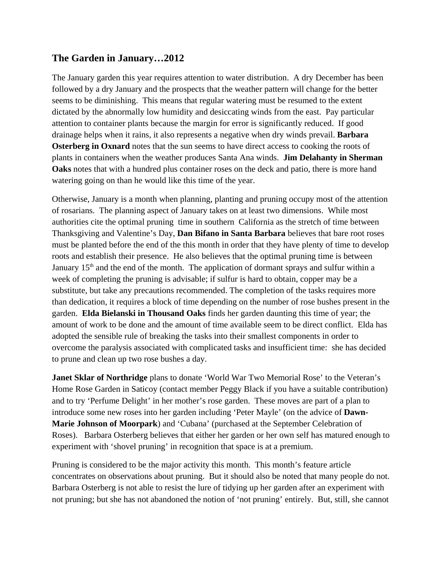### **The Garden in January…2012**

The January garden this year requires attention to water distribution. A dry December has been followed by a dry January and the prospects that the weather pattern will change for the better seems to be diminishing. This means that regular watering must be resumed to the extent dictated by the abnormally low humidity and desiccating winds from the east. Pay particular attention to container plants because the margin for error is significantly reduced. If good drainage helps when it rains, it also represents a negative when dry winds prevail. **Barbara Osterberg in Oxnard** notes that the sun seems to have direct access to cooking the roots of plants in containers when the weather produces Santa Ana winds. **Jim Delahanty in Sherman Oaks** notes that with a hundred plus container roses on the deck and patio, there is more hand watering going on than he would like this time of the year.

Otherwise, January is a month when planning, planting and pruning occupy most of the attention of rosarians. The planning aspect of January takes on at least two dimensions. While most authorities cite the optimal pruning time in southern California as the stretch of time between Thanksgiving and Valentine's Day, **Dan Bifano in Santa Barbara** believes that bare root roses must be planted before the end of the this month in order that they have plenty of time to develop roots and establish their presence. He also believes that the optimal pruning time is between January  $15<sup>th</sup>$  and the end of the month. The application of dormant sprays and sulfur within a week of completing the pruning is advisable; if sulfur is hard to obtain, copper may be a substitute, but take any precautions recommended. The completion of the tasks requires more than dedication, it requires a block of time depending on the number of rose bushes present in the garden. **Elda Bielanski in Thousand Oaks** finds her garden daunting this time of year; the amount of work to be done and the amount of time available seem to be direct conflict. Elda has adopted the sensible rule of breaking the tasks into their smallest components in order to overcome the paralysis associated with complicated tasks and insufficient time: she has decided to prune and clean up two rose bushes a day.

**Janet Sklar of Northridge** plans to donate 'World War Two Memorial Rose' to the Veteran's Home Rose Garden in Saticoy (contact member Peggy Black if you have a suitable contribution) and to try 'Perfume Delight' in her mother's rose garden. These moves are part of a plan to introduce some new roses into her garden including 'Peter Mayle' (on the advice of **Dawn-Marie Johnson of Moorpark**) and 'Cubana' (purchased at the September Celebration of Roses). Barbara Osterberg believes that either her garden or her own self has matured enough to experiment with 'shovel pruning' in recognition that space is at a premium.

Pruning is considered to be the major activity this month. This month's feature article concentrates on observations about pruning. But it should also be noted that many people do not. Barbara Osterberg is not able to resist the lure of tidying up her garden after an experiment with not pruning; but she has not abandoned the notion of 'not pruning' entirely. But, still, she cannot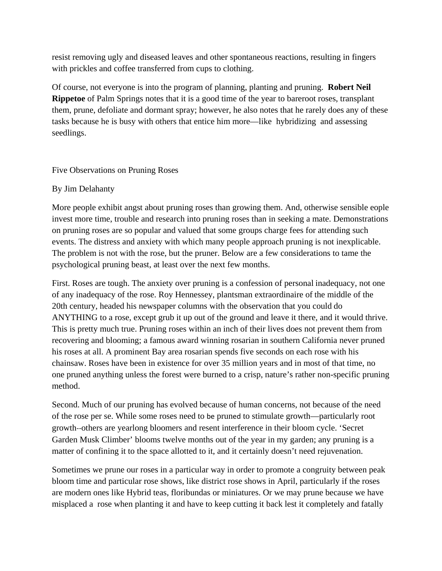resist removing ugly and diseased leaves and other spontaneous reactions, resulting in fingers with prickles and coffee transferred from cups to clothing.

Of course, not everyone is into the program of planning, planting and pruning. **Robert Neil Rippetoe** of Palm Springs notes that it is a good time of the year to bareroot roses, transplant them, prune, defoliate and dormant spray; however, he also notes that he rarely does any of these tasks because he is busy with others that entice him more—like hybridizing and assessing seedlings.

Five Observations on Pruning Roses

#### By Jim Delahanty

More people exhibit angst about pruning roses than growing them. And, otherwise sensible eople invest more time, trouble and research into pruning roses than in seeking a mate. Demonstrations on pruning roses are so popular and valued that some groups charge fees for attending such events. The distress and anxiety with which many people approach pruning is not inexplicable. The problem is not with the rose, but the pruner. Below are a few considerations to tame the psychological pruning beast, at least over the next few months.

First. Roses are tough. The anxiety over pruning is a confession of personal inadequacy, not one of any inadequacy of the rose. Roy Hennessey, plantsman extraordinaire of the middle of the 20th century, headed his newspaper columns with the observation that you could do ANYTHING to a rose, except grub it up out of the ground and leave it there, and it would thrive. This is pretty much true. Pruning roses within an inch of their lives does not prevent them from recovering and blooming; a famous award winning rosarian in southern California never pruned his roses at all. A prominent Bay area rosarian spends five seconds on each rose with his chainsaw. Roses have been in existence for over 35 million years and in most of that time, no one pruned anything unless the forest were burned to a crisp, nature's rather non-specific pruning method.

Second. Much of our pruning has evolved because of human concerns, not because of the need of the rose per se. While some roses need to be pruned to stimulate growth—particularly root growth‐‐others are yearlong bloomers and resent interference in their bloom cycle. 'Secret Garden Musk Climber' blooms twelve months out of the year in my garden; any pruning is a matter of confining it to the space allotted to it, and it certainly doesn't need rejuvenation.

Sometimes we prune our roses in a particular way in order to promote a congruity between peak bloom time and particular rose shows, like district rose shows in April, particularly if the roses are modern ones like Hybrid teas, floribundas or miniatures. Or we may prune because we have misplaced a rose when planting it and have to keep cutting it back lest it completely and fatally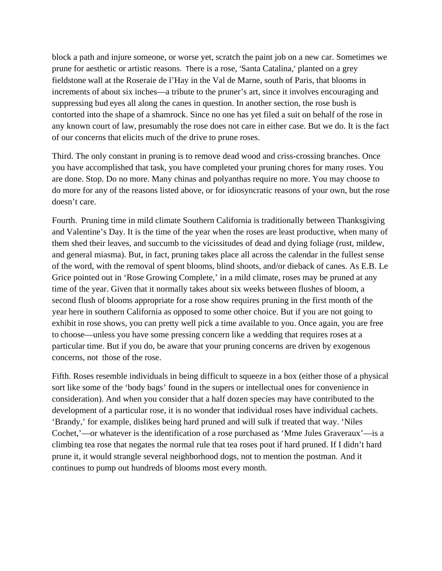block a path and injure someone, or worse yet, scratch the paint job on a new car. Sometimes we prune for aesthetic or artistic reasons. There is a rose, 'Santa Catalina,' planted on a grey fieldstone wall at the Roseraie de l'Hay in the Val de Marne, south of Paris, that blooms in increments of about six inches—a tribute to the pruner's art, since it involves encouraging and suppressing bud eyes all along the canes in question. In another section, the rose bush is contorted into the shape of a shamrock. Since no one has yet filed a suit on behalf of the rose in any known court of law, presumably the rose does not care in either case. But we do. It is the fact of our concerns that elicits much of the drive to prune roses.

Third. The only constant in pruning is to remove dead wood and criss-crossing branches. Once you have accomplished that task, you have completed your pruning chores for many roses. You are done. Stop. Do no more. Many chinas and polyanthas require no more. You may choose to do more for any of the reasons listed above, or for idiosyncratic reasons of your own, but the rose doesn't care.

Fourth. Pruning time in mild climate Southern California is traditionally between Thanksgiving and Valentine's Day. It is the time of the year when the roses are least productive, when many of them shed their leaves, and succumb to the vicissitudes of dead and dying foliage (rust, mildew, and general miasma). But, in fact, pruning takes place all across the calendar in the fullest sense of the word, with the removal of spent blooms, blind shoots, and/or dieback of canes. As E.B. Le Grice pointed out in 'Rose Growing Complete,' in a mild climate, roses may be pruned at any time of the year. Given that it normally takes about six weeks between flushes of bloom, a second flush of blooms appropriate for a rose show requires pruning in the first month of the year here in southern California as opposed to some other choice. But if you are not going to exhibit in rose shows, you can pretty well pick a time available to you. Once again, you are free to choose—unless you have some pressing concern like a wedding that requires roses at a particular time. But if you do, be aware that your pruning concerns are driven by exogenous concerns, not those of the rose.

Fifth. Roses resemble individuals in being difficult to squeeze in a box (either those of a physical sort like some of the 'body bags' found in the supers or intellectual ones for convenience in consideration). And when you consider that a half dozen species may have contributed to the development of a particular rose, it is no wonder that individual roses have individual cachets. 'Brandy,' for example, dislikes being hard pruned and will sulk if treated that way. 'Niles Cochet,'—or whatever is the identification of a rose purchased as 'Mme Jules Graveraux'—is a climbing tea rose that negates the normal rule that tea roses pout if hard pruned. If I didn't hard prune it, it would strangle several neighborhood dogs, not to mention the postman. And it continues to pump out hundreds of blooms most every month.